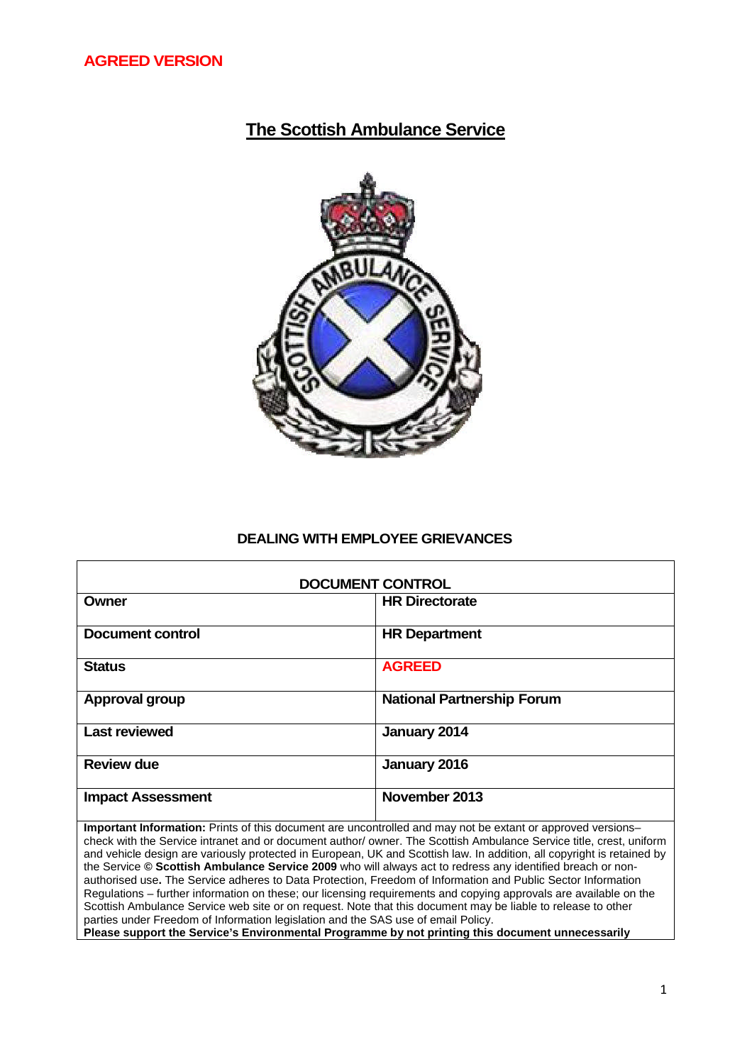# **The Scottish Ambulance Service**



### **DEALING WITH EMPLOYEE GRIEVANCES**

| <b>DOCUMENT CONTROL</b>  |                                   |  |
|--------------------------|-----------------------------------|--|
| Owner                    | <b>HR Directorate</b>             |  |
| Document control         | <b>HR Department</b>              |  |
| <b>Status</b>            | <b>AGREED</b>                     |  |
| <b>Approval group</b>    | <b>National Partnership Forum</b> |  |
| <b>Last reviewed</b>     | January 2014                      |  |
| <b>Review due</b>        | January 2016                      |  |
| <b>Impact Assessment</b> | November 2013                     |  |

**Important Information:** Prints of this document are uncontrolled and may not be extant or approved versions– check with the Service intranet and or document author/ owner. The Scottish Ambulance Service title, crest, uniform and vehicle design are variously protected in European, UK and Scottish law. In addition, all copyright is retained by the Service **© Scottish Ambulance Service 2009** who will always act to redress any identified breach or nonauthorised use**.** The Service adheres to Data Protection, Freedom of Information and Public Sector Information Regulations – further information on these; our licensing requirements and copying approvals are available on the Scottish Ambulance Service web site or on request. Note that this document may be liable to release to other parties under Freedom of Information legislation and the SAS use of email Policy. **Please support the Service's Environmental Programme by not printing this document unnecessarily**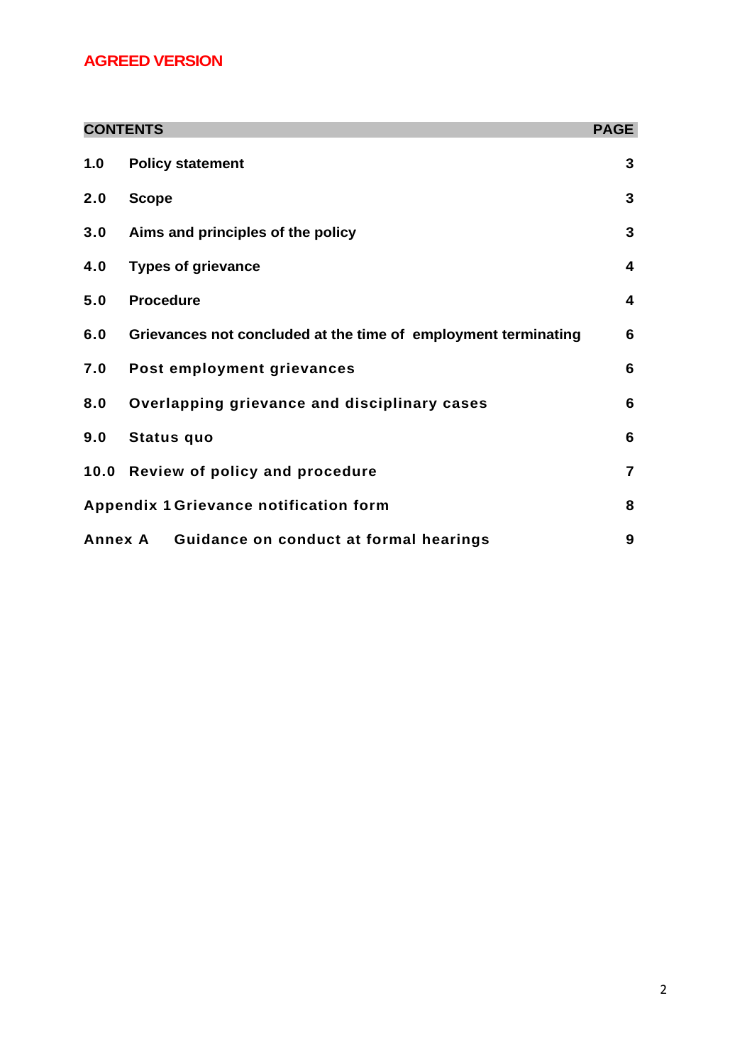## **AGREED VERSION**

|                                        | <b>CONTENTS</b>                                                | <b>PAGE</b>    |
|----------------------------------------|----------------------------------------------------------------|----------------|
| 1.0                                    | <b>Policy statement</b>                                        | 3              |
| 2.0                                    | <b>Scope</b>                                                   | 3              |
| 3.0                                    | Aims and principles of the policy                              | 3              |
| 4.0                                    | <b>Types of grievance</b>                                      | 4              |
| 5.0                                    | <b>Procedure</b>                                               | 4              |
| 6.0                                    | Grievances not concluded at the time of employment terminating | 6              |
| 7.0                                    | Post employment grievances                                     | 6              |
| 8.0                                    | Overlapping grievance and disciplinary cases                   | 6              |
| 9.0                                    | <b>Status quo</b>                                              | 6              |
|                                        | 10.0 Review of policy and procedure                            | $\overline{7}$ |
| Appendix 1 Grievance notification form |                                                                | 8              |
|                                        | Annex A Guidance on conduct at formal hearings                 | 9              |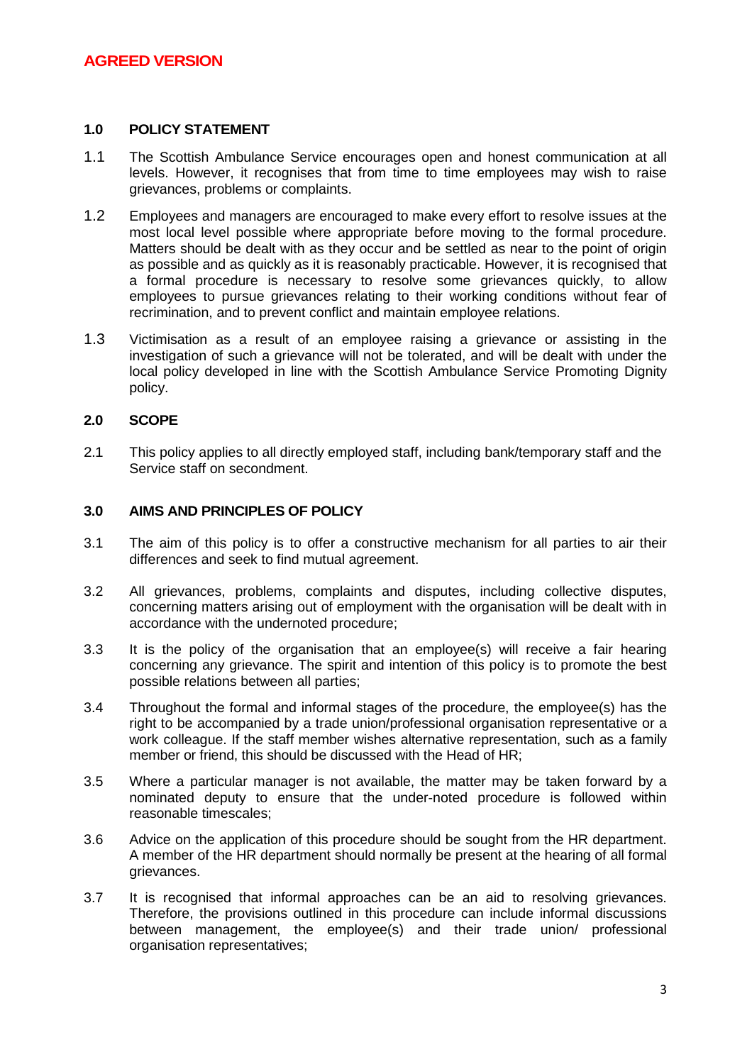### **1.0 POLICY STATEMENT**

- 1.1 The Scottish Ambulance Service encourages open and honest communication at all levels. However, it recognises that from time to time employees may wish to raise grievances, problems or complaints.
- 1.2 Employees and managers are encouraged to make every effort to resolve issues at the most local level possible where appropriate before moving to the formal procedure. Matters should be dealt with as they occur and be settled as near to the point of origin as possible and as quickly as it is reasonably practicable. However, it is recognised that a formal procedure is necessary to resolve some grievances quickly, to allow employees to pursue grievances relating to their working conditions without fear of recrimination, and to prevent conflict and maintain employee relations.
- 1.3 Victimisation as a result of an employee raising a grievance or assisting in the investigation of such a grievance will not be tolerated, and will be dealt with under the local policy developed in line with the Scottish Ambulance Service Promoting Dignity policy.

### **2.0 SCOPE**

2.1 This policy applies to all directly employed staff, including bank/temporary staff and the Service staff on secondment.

### **3.0 AIMS AND PRINCIPLES OF POLICY**

- 3.1 The aim of this policy is to offer a constructive mechanism for all parties to air their differences and seek to find mutual agreement.
- 3.2 All grievances, problems, complaints and disputes, including collective disputes, concerning matters arising out of employment with the organisation will be dealt with in accordance with the undernoted procedure;
- 3.3 It is the policy of the organisation that an employee(s) will receive a fair hearing concerning any grievance. The spirit and intention of this policy is to promote the best possible relations between all parties;
- 3.4 Throughout the formal and informal stages of the procedure, the employee(s) has the right to be accompanied by a trade union/professional organisation representative or a work colleague. If the staff member wishes alternative representation, such as a family member or friend, this should be discussed with the Head of HR;
- 3.5 Where a particular manager is not available, the matter may be taken forward by a nominated deputy to ensure that the under-noted procedure is followed within reasonable timescales;
- 3.6 Advice on the application of this procedure should be sought from the HR department. A member of the HR department should normally be present at the hearing of all formal grievances.
- 3.7 It is recognised that informal approaches can be an aid to resolving grievances. Therefore, the provisions outlined in this procedure can include informal discussions between management, the employee(s) and their trade union/ professional organisation representatives;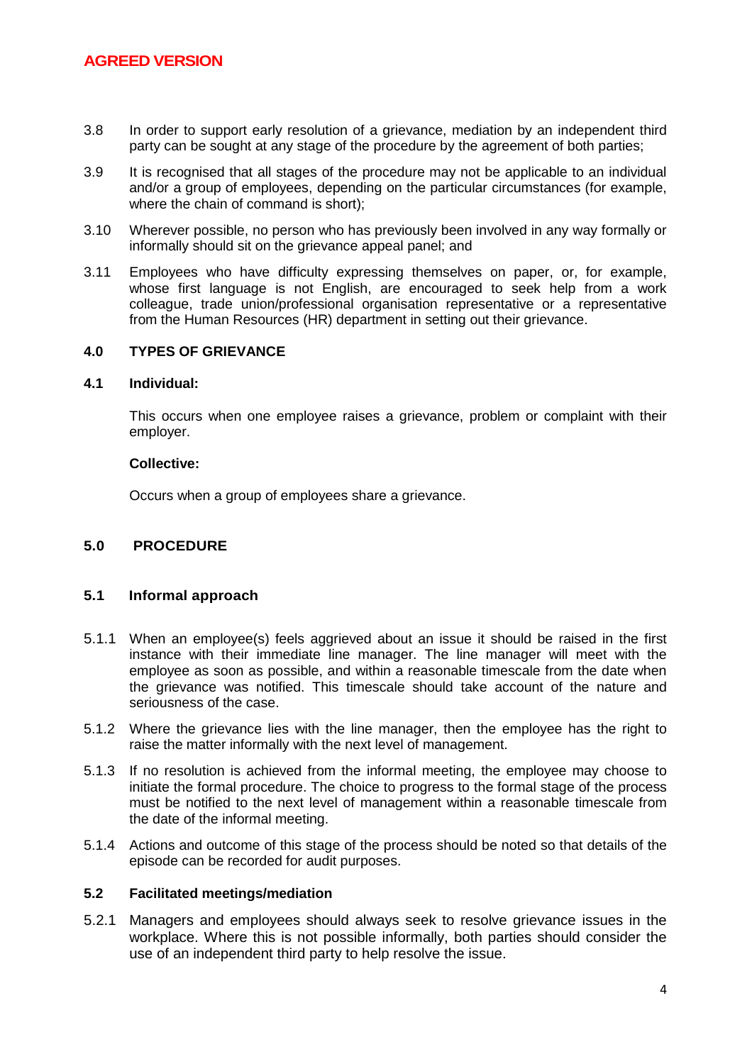- 3.8 In order to support early resolution of a grievance, mediation by an independent third party can be sought at any stage of the procedure by the agreement of both parties;
- 3.9 It is recognised that all stages of the procedure may not be applicable to an individual and/or a group of employees, depending on the particular circumstances (for example, where the chain of command is short);
- 3.10 Wherever possible, no person who has previously been involved in any way formally or informally should sit on the grievance appeal panel; and
- 3.11 Employees who have difficulty expressing themselves on paper, or, for example, whose first language is not English, are encouraged to seek help from a work colleague, trade union/professional organisation representative or a representative from the Human Resources (HR) department in setting out their grievance.

### **4.0 TYPES OF GRIEVANCE**

### **4.1 Individual:**

This occurs when one employee raises a grievance, problem or complaint with their employer.

#### **Collective:**

Occurs when a group of employees share a grievance.

#### **5.0 PROCEDURE**

#### **5.1 Informal approach**

- 5.1.1 When an employee(s) feels aggrieved about an issue it should be raised in the first instance with their immediate line manager. The line manager will meet with the employee as soon as possible, and within a reasonable timescale from the date when the grievance was notified. This timescale should take account of the nature and seriousness of the case.
- 5.1.2 Where the grievance lies with the line manager, then the employee has the right to raise the matter informally with the next level of management.
- 5.1.3 If no resolution is achieved from the informal meeting, the employee may choose to initiate the formal procedure. The choice to progress to the formal stage of the process must be notified to the next level of management within a reasonable timescale from the date of the informal meeting.
- 5.1.4 Actions and outcome of this stage of the process should be noted so that details of the episode can be recorded for audit purposes.

### **5.2 Facilitated meetings/mediation**

5.2.1 Managers and employees should always seek to resolve grievance issues in the workplace. Where this is not possible informally, both parties should consider the use of an independent third party to help resolve the issue.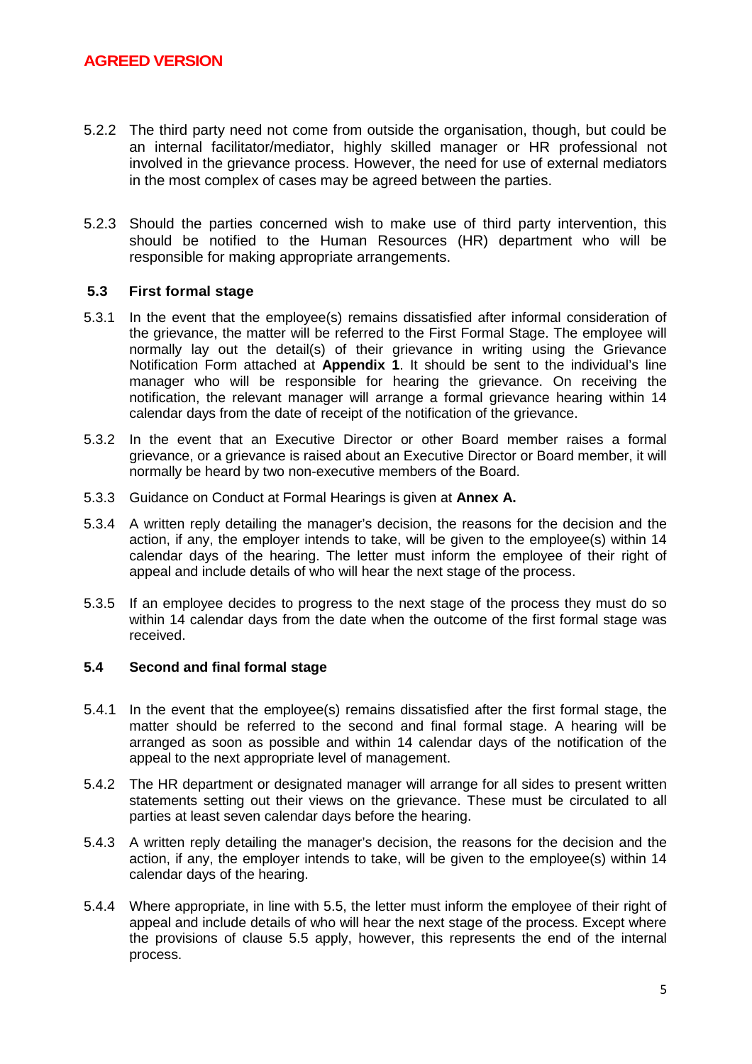- 5.2.2 The third party need not come from outside the organisation, though, but could be an internal facilitator/mediator, highly skilled manager or HR professional not involved in the grievance process. However, the need for use of external mediators in the most complex of cases may be agreed between the parties.
- 5.2.3 Should the parties concerned wish to make use of third party intervention, this should be notified to the Human Resources (HR) department who will be responsible for making appropriate arrangements.

### **5.3 First formal stage**

- 5.3.1 In the event that the employee(s) remains dissatisfied after informal consideration of the grievance, the matter will be referred to the First Formal Stage. The employee will normally lay out the detail(s) of their grievance in writing using the Grievance Notification Form attached at **Appendix 1**. It should be sent to the individual's line manager who will be responsible for hearing the grievance. On receiving the notification, the relevant manager will arrange a formal grievance hearing within 14 calendar days from the date of receipt of the notification of the grievance.
- 5.3.2 In the event that an Executive Director or other Board member raises a formal grievance, or a grievance is raised about an Executive Director or Board member, it will normally be heard by two non-executive members of the Board.
- 5.3.3 Guidance on Conduct at Formal Hearings is given at **Annex A.**
- 5.3.4 A written reply detailing the manager's decision, the reasons for the decision and the action, if any, the employer intends to take, will be given to the employee(s) within 14 calendar days of the hearing. The letter must inform the employee of their right of appeal and include details of who will hear the next stage of the process.
- 5.3.5 If an employee decides to progress to the next stage of the process they must do so within 14 calendar days from the date when the outcome of the first formal stage was received.

#### **5.4 Second and final formal stage**

- 5.4.1 In the event that the employee(s) remains dissatisfied after the first formal stage, the matter should be referred to the second and final formal stage. A hearing will be arranged as soon as possible and within 14 calendar days of the notification of the appeal to the next appropriate level of management.
- 5.4.2 The HR department or designated manager will arrange for all sides to present written statements setting out their views on the grievance. These must be circulated to all parties at least seven calendar days before the hearing.
- 5.4.3 A written reply detailing the manager's decision, the reasons for the decision and the action, if any, the employer intends to take, will be given to the employee(s) within 14 calendar days of the hearing.
- 5.4.4 Where appropriate, in line with 5.5, the letter must inform the employee of their right of appeal and include details of who will hear the next stage of the process. Except where the provisions of clause 5.5 apply, however, this represents the end of the internal process.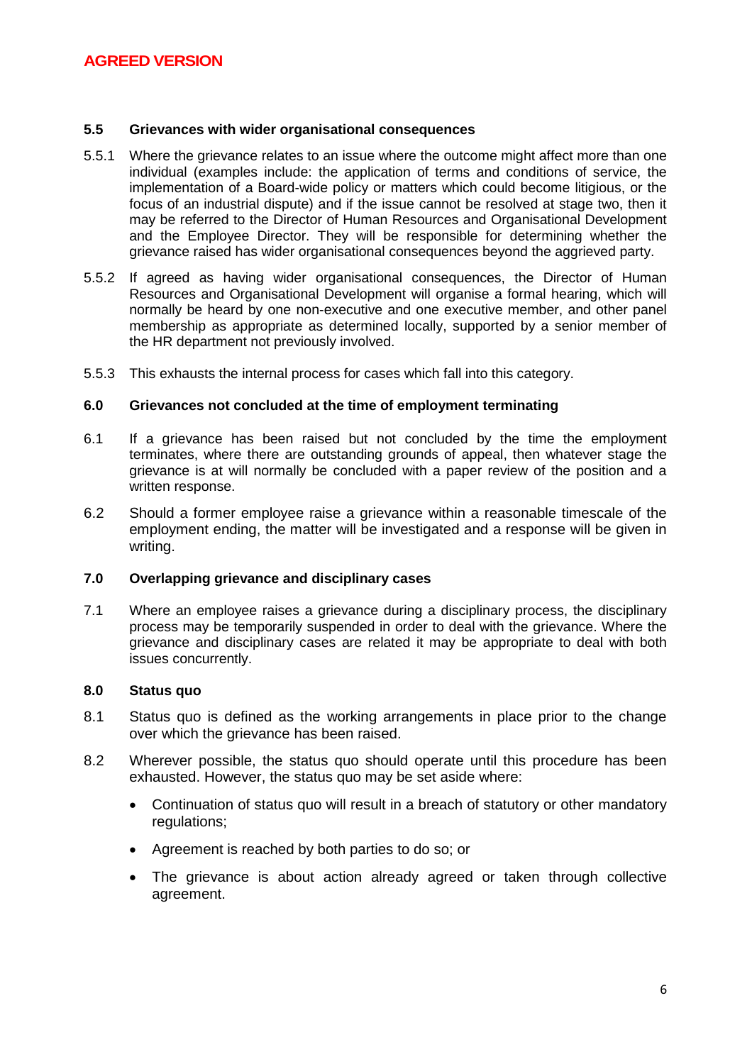### **5.5 Grievances with wider organisational consequences**

- 5.5.1 Where the grievance relates to an issue where the outcome might affect more than one individual (examples include: the application of terms and conditions of service, the implementation of a Board-wide policy or matters which could become litigious, or the focus of an industrial dispute) and if the issue cannot be resolved at stage two, then it may be referred to the Director of Human Resources and Organisational Development and the Employee Director. They will be responsible for determining whether the grievance raised has wider organisational consequences beyond the aggrieved party.
- 5.5.2 If agreed as having wider organisational consequences, the Director of Human Resources and Organisational Development will organise a formal hearing, which will normally be heard by one non-executive and one executive member, and other panel membership as appropriate as determined locally, supported by a senior member of the HR department not previously involved.
- 5.5.3 This exhausts the internal process for cases which fall into this category.

### **6.0 Grievances not concluded at the time of employment terminating**

- 6.1 If a grievance has been raised but not concluded by the time the employment terminates, where there are outstanding grounds of appeal, then whatever stage the grievance is at will normally be concluded with a paper review of the position and a written response.
- 6.2 Should a former employee raise a grievance within a reasonable timescale of the employment ending, the matter will be investigated and a response will be given in writing.

#### **7.0 Overlapping grievance and disciplinary cases**

7.1 Where an employee raises a grievance during a disciplinary process, the disciplinary process may be temporarily suspended in order to deal with the grievance. Where the grievance and disciplinary cases are related it may be appropriate to deal with both issues concurrently.

### **8.0 Status quo**

- 8.1 Status quo is defined as the working arrangements in place prior to the change over which the grievance has been raised.
- 8.2 Wherever possible, the status quo should operate until this procedure has been exhausted. However, the status quo may be set aside where:
	- Continuation of status quo will result in a breach of statutory or other mandatory regulations;
	- Agreement is reached by both parties to do so; or
	- The grievance is about action already agreed or taken through collective agreement.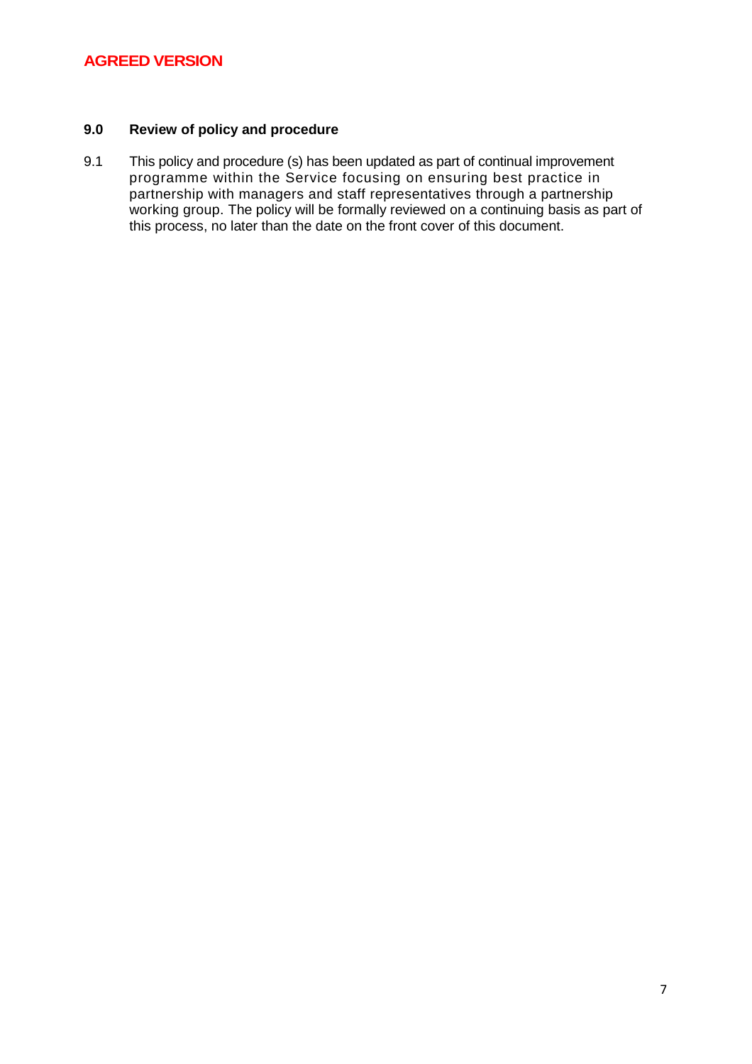### **9.0 Review of policy and procedure**

9.1 This policy and procedure (s) has been updated as part of continual improvement programme within the Service focusing on ensuring best practice in partnership with managers and staff representatives through a partnership working group. The policy will be formally reviewed on a continuing basis as part of this process, no later than the date on the front cover of this document.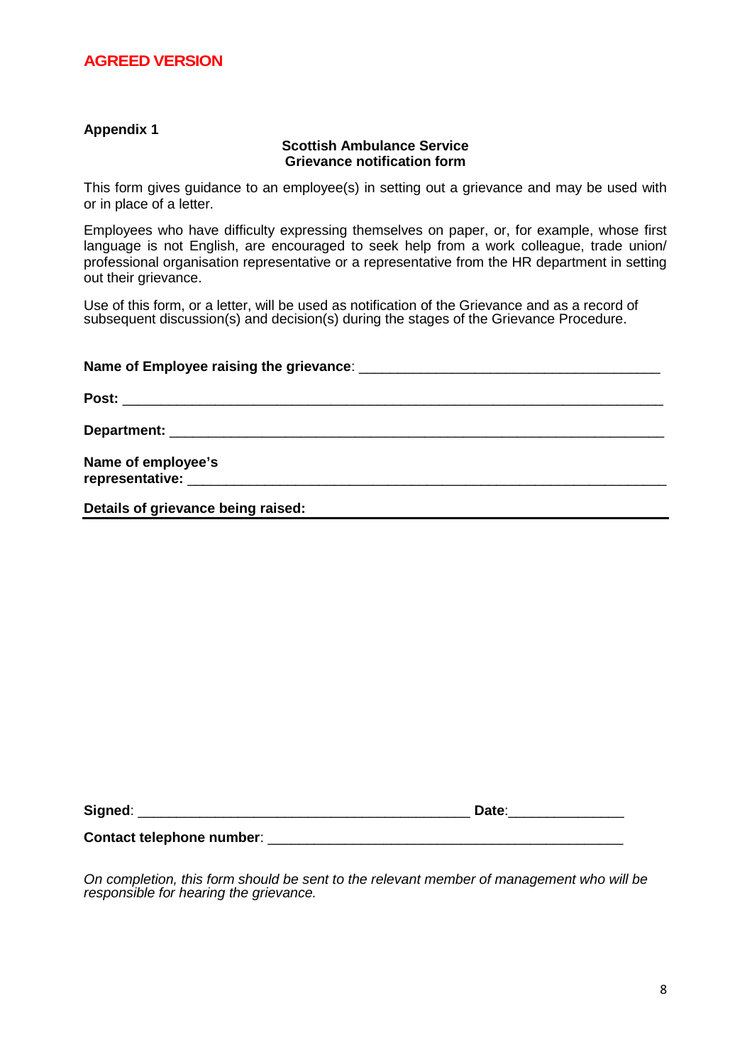### **Appendix 1**

#### **Scottish Ambulance Service Grievance notification form**

This form gives guidance to an employee(s) in setting out a grievance and may be used with or in place of a letter.

Employees who have difficulty expressing themselves on paper, or, for example, whose first language is not English, are encouraged to seek help from a work colleague, trade union/ professional organisation representative or a representative from the HR department in setting out their grievance.

Use of this form, or a letter, will be used as notification of the Grievance and as a record of subsequent discussion(s) and decision(s) during the stages of the Grievance Procedure.

| Department: New York School School School School School School School School School School School School School School School School School School School School School School School School School School School School Schoo |  |  |
|--------------------------------------------------------------------------------------------------------------------------------------------------------------------------------------------------------------------------------|--|--|
| Name of employee's                                                                                                                                                                                                             |  |  |
| Details of grievance being raised:                                                                                                                                                                                             |  |  |

| C <sub>i</sub><br>--- - -<br>- 1<br>. |  |
|---------------------------------------|--|
|                                       |  |

*On completion, this form should be sent to the relevant member of management who will be*

**Contact telephone number:**